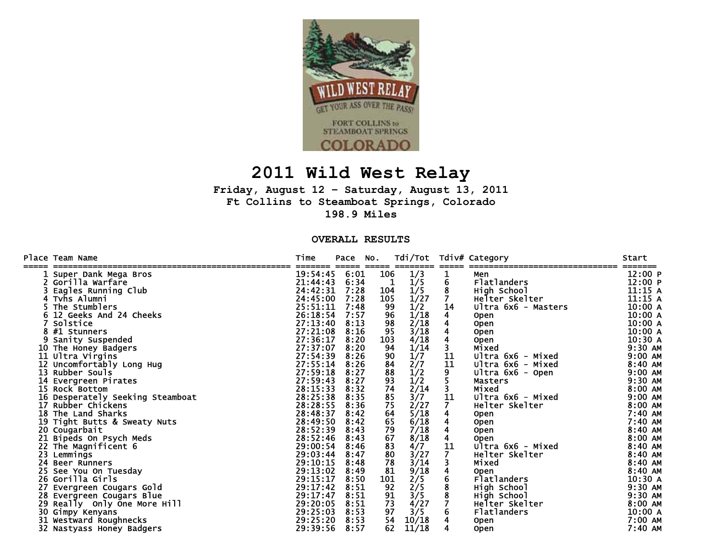

## **2011 Wild West Relay**

**Friday, August 12 – Saturday, August 13, 2011 Ft Collins to Steamboat Springs, Colorado 198.9 Miles** 

**OVERALL RESULTS** 

|    | Place Team Name                  | Time<br>======       | Pace<br>$=$ $=$ $=$ $=$ | NO.   | Tdi/Tot                                                                | =====         | Tdiv# Category<br>---------------------------------- | Start     |
|----|----------------------------------|----------------------|-------------------------|-------|------------------------------------------------------------------------|---------------|------------------------------------------------------|-----------|
|    | Super Dank Mega Bros             | 19:54:45             | 6:01                    | ===== | 106<br>1/3                                                             |               | Men                                                  | 12:00 P   |
|    | Gorilla Warfare                  | 21:44:43             | 6:34                    |       | 1/5<br>1                                                               | $\frac{1}{6}$ | Flatlanders                                          | 12:00 P   |
|    | Eagles Running Club              | 24:42:31             | 7:28                    |       | 1/5<br>104                                                             | 8             | High School                                          | 11:15A    |
|    | Tvhs Alumni                      | 24:45:00             | 7:28                    |       | 105<br>1/27                                                            |               | Helter Skelter                                       | 11:15A    |
|    | The Stumblers                    | 25:51:11             | 7:48                    |       | 1/2<br>99                                                              | 14            | Ultra 6x6 - Masters                                  | 10:00 A   |
|    | 12 Geeks And 24 Cheeks           | 26:18:54             | 7:57                    |       | 1/18<br>96                                                             | 4             | <b>Open</b>                                          | 10:00A    |
|    | Solstice                         | 27:13:40             | 8:13                    |       | 98<br>$\frac{2/18}{3/18}$                                              |               | <b>Open</b>                                          | 10:00A    |
|    | 8 #1 Stunners                    | 27:21:08             | 8:16                    |       | 95                                                                     | 4             | <b>Open</b>                                          | 10:00A    |
| 9  | Sanity Suspended                 | 27:36:17             | 8:20                    |       | 4/18<br>103                                                            |               | <b>Open</b>                                          | 10:30 A   |
|    | 10 The Honey Badgers             | 27:37:07             | 8:20                    |       | 94<br>1/14                                                             |               | Mixed                                                | 9:30 AM   |
|    | 11 Ultra Virgins                 | 27:54:39             | 8:26                    |       | 90<br>1/7                                                              | 11            | Ultra 6x6 - Mixed                                    | $9:00$ AM |
|    | 12 Uncomfortably Long Hug        | 27:55:14<br>27:59:18 | 8:26                    |       | 2/7<br>84                                                              | 11            | Ultra 6x6 - Mixed                                    | 8:40 AM   |
| 13 | Rubber Souls                     |                      | 8:27                    |       | 1/2<br>88                                                              | 9             | Ultra 6x6 - Open                                     | $9:00$ AM |
|    | Evergreen Pirates                | 27:59:43             | 8:27                    |       | 93<br>1/2                                                              |               | <b>Masters</b>                                       | 9:30 AM   |
|    | 15 Rock Bottom                   | 28:15:33             | 8:32                    |       | 74<br>2/14                                                             |               | Mixed                                                | 8:00 AM   |
|    | 16 Desperately Seeking Steamboat | 28:25:38             | 8:35                    |       | 85<br>3/7                                                              | 11            | Ultra 6x6 - Mixed                                    | $9:00$ AM |
| 17 | Rubber Chickens                  | 28:28:55             | 8:36                    |       | 2/27<br>75                                                             | $\mathbf{7}$  | Helter Skelter                                       | 8:00 AM   |
|    | 18 The Land Sharks               | 28:48:37             | 8:42                    |       | 64                                                                     | 4             | <b>Open</b>                                          | 7:40 AM   |
|    | 19 Tight Butts & Sweaty Nuts     | 28:49:50             | 8:42                    |       | $\frac{5}{18}$<br>65                                                   | 4             | <b>Open</b>                                          | 7:40 AM   |
|    | 20 Cougarbait                    | 28:52:39             | 8:43                    |       | 79<br>7/18                                                             |               | <b>Open</b>                                          | 8:40 AM   |
|    | 21 Bipeds On Psych Meds          | 28:52:46             | 8:43                    |       | 67<br>8/18                                                             |               | <b>Open</b>                                          | 8:00 AM   |
|    | 22 The Magnificent 6             | 29:00:54             | 8:46                    |       | 83<br>4/7                                                              | 11            | Ultra 6x6 - Mixed                                    | 8:40 AM   |
|    | 23 Lemmings                      | 29:03:44             | 8:47                    |       | 80<br>3/27                                                             |               | Helter Skelter                                       | 8:40 AM   |
| 24 | <b>Beer Runners</b>              | 29:10:15             | 8:48                    |       | 78<br>3/14                                                             |               | Mixed                                                | 8:40 AM   |
|    | See You On Tuesday               | 29:13:02             | 8:49                    |       | 81<br>9/18                                                             |               | <b>Open</b>                                          | 8:40 AM   |
|    | 26 Gorilla Girls                 | 29:15:17             | 8:50                    |       | 101                                                                    |               | Flatlanders                                          | 10:30 A   |
| 27 | Evergreen Cougars Gold           | 29:17:42             | 8:51                    |       | $\frac{2}{5}$<br>$\frac{2}{5}$<br>$\frac{3}{5}$<br>$\frac{4}{2}$<br>92 |               | High School                                          | $9:30$ AM |
|    | 28 Evergreen Cougars Blue        | 29:17:47             | 8:51                    |       | 91                                                                     |               | High School                                          | 9:30 AM   |
|    | 29 Really Only One More Hill     | 29:20:05             | 8:51                    |       | 73                                                                     |               | Helter Skelter                                       | 8:00 AM   |
|    | 30 Gimpy Kenyans                 | 29:25:03             | 8:53                    |       | 3/5<br>97                                                              |               | Flatlanders                                          | 10:00 A   |
|    | 31 Westward Roughnecks           | 29:25:20             | 8:53                    |       | 54<br>10/18                                                            |               | <b>Open</b>                                          | 7:00 AM   |
|    | 32 Nastyass Honey Badgers        | 29:39:56             | 8:57                    |       | 62<br>11/18                                                            |               | <b>Open</b>                                          | 7:40 AM   |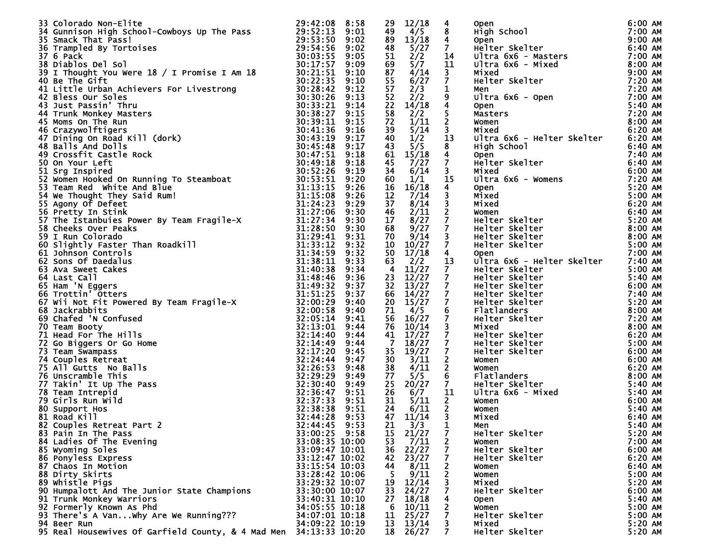| 33 Colorado Non-Elite                                                                                                                                                                                                                                         | 29:42:08       | 8:58 | 29              | 12/18                                                                  | 4                       |                                                                                                                                                                                                                                                                                                        | 6:00 AM   |
|---------------------------------------------------------------------------------------------------------------------------------------------------------------------------------------------------------------------------------------------------------------|----------------|------|-----------------|------------------------------------------------------------------------|-------------------------|--------------------------------------------------------------------------------------------------------------------------------------------------------------------------------------------------------------------------------------------------------------------------------------------------------|-----------|
|                                                                                                                                                                                                                                                               |                |      | 49              | 4/5                                                                    | 8                       |                                                                                                                                                                                                                                                                                                        | 7:00 AM   |
|                                                                                                                                                                                                                                                               |                |      |                 |                                                                        |                         |                                                                                                                                                                                                                                                                                                        |           |
|                                                                                                                                                                                                                                                               |                |      | 89              | $\frac{13/18}{5/27}$                                                   | $\overline{4}$          | Open<br>High School<br>Open<br>Helter Skelter<br>Ultra 6x6 - Masters<br>Ultra 6x6 - Mixed<br>Mixed<br>Helter Skelter<br>Open<br>Open<br>Masters<br>Women<br>Mixed<br>Mixed<br>Mixed<br>Mixed School<br>Mixed<br>Mixed<br>Mixed School<br>Mixed<br>Mixed School<br>Mixed<br>Mixed School<br>Mixed<br>Mi | $9:00$ AM |
|                                                                                                                                                                                                                                                               |                |      | 48              |                                                                        | $\mathbf{7}$            |                                                                                                                                                                                                                                                                                                        | 6:40 AM   |
|                                                                                                                                                                                                                                                               |                |      | 51              | 2/2                                                                    | 14                      |                                                                                                                                                                                                                                                                                                        | 7:00 AM   |
|                                                                                                                                                                                                                                                               |                |      | 69              | $\overline{5}/\overline{7}$                                            | 11                      |                                                                                                                                                                                                                                                                                                        | 8:00 AM   |
|                                                                                                                                                                                                                                                               |                |      |                 |                                                                        |                         |                                                                                                                                                                                                                                                                                                        |           |
|                                                                                                                                                                                                                                                               |                |      | 87              | 4/14                                                                   | $\mathbf{3}$            |                                                                                                                                                                                                                                                                                                        | $9:00$ AM |
|                                                                                                                                                                                                                                                               |                |      | 55              | 6/27                                                                   | $\overline{7}$          |                                                                                                                                                                                                                                                                                                        | 7:20 AM   |
|                                                                                                                                                                                                                                                               |                |      | 57              | 2/3                                                                    | $\mathbf 1$             |                                                                                                                                                                                                                                                                                                        | 7:20 AM   |
|                                                                                                                                                                                                                                                               |                |      |                 |                                                                        |                         |                                                                                                                                                                                                                                                                                                        |           |
|                                                                                                                                                                                                                                                               |                |      | 52              | $\overline{2}/\overline{2}$                                            | 9                       |                                                                                                                                                                                                                                                                                                        | 7:00 AM   |
|                                                                                                                                                                                                                                                               |                |      | 22              | $\frac{1\bar{4}}{2/2}$                                                 | $\overline{\mathbf{4}}$ |                                                                                                                                                                                                                                                                                                        | 5:40 AM   |
|                                                                                                                                                                                                                                                               |                |      | 58              |                                                                        | 5                       |                                                                                                                                                                                                                                                                                                        | 7:20 AM   |
|                                                                                                                                                                                                                                                               |                |      |                 |                                                                        |                         |                                                                                                                                                                                                                                                                                                        |           |
|                                                                                                                                                                                                                                                               |                |      | 72              | 1/11                                                                   | $\overline{2}$          |                                                                                                                                                                                                                                                                                                        | 8:00 AM   |
|                                                                                                                                                                                                                                                               |                |      | 39              | 5/14                                                                   | $\mathbf{3}$            |                                                                                                                                                                                                                                                                                                        | 6:20 AM   |
|                                                                                                                                                                                                                                                               |                |      | 40              | 1/2                                                                    | $\overline{1}3$         | Ultra 6x6 - Helter Skelter                                                                                                                                                                                                                                                                             | 6:20 AM   |
|                                                                                                                                                                                                                                                               |                |      | 43              | 5/5                                                                    |                         |                                                                                                                                                                                                                                                                                                        |           |
|                                                                                                                                                                                                                                                               |                |      |                 |                                                                        | 8                       |                                                                                                                                                                                                                                                                                                        | 6:40 AM   |
|                                                                                                                                                                                                                                                               |                |      | 61              | $\frac{15/18}{7/27}$                                                   | $\overline{\mathbf{4}}$ |                                                                                                                                                                                                                                                                                                        | 7:40 AM   |
|                                                                                                                                                                                                                                                               |                |      | 45              |                                                                        | $\overline{7}$          |                                                                                                                                                                                                                                                                                                        | 6:40 AM   |
|                                                                                                                                                                                                                                                               |                |      | 34              | 6/14                                                                   | $\overline{\mathbf{3}}$ |                                                                                                                                                                                                                                                                                                        | 6:00 AM   |
|                                                                                                                                                                                                                                                               |                |      |                 |                                                                        |                         |                                                                                                                                                                                                                                                                                                        |           |
|                                                                                                                                                                                                                                                               |                |      | 60              | 1/1                                                                    | 15                      |                                                                                                                                                                                                                                                                                                        | 7:20 AM   |
|                                                                                                                                                                                                                                                               |                |      | 16              | 16/18                                                                  | 4                       |                                                                                                                                                                                                                                                                                                        | 5:20 AM   |
|                                                                                                                                                                                                                                                               |                |      | 12              | 7/14                                                                   | 3                       |                                                                                                                                                                                                                                                                                                        | 5:00 AM   |
|                                                                                                                                                                                                                                                               |                |      |                 |                                                                        |                         |                                                                                                                                                                                                                                                                                                        |           |
|                                                                                                                                                                                                                                                               |                |      | 37              | 8/14                                                                   |                         |                                                                                                                                                                                                                                                                                                        | 6:20 AM   |
|                                                                                                                                                                                                                                                               |                |      | 46              | 2/11                                                                   |                         |                                                                                                                                                                                                                                                                                                        | 6:40 AM   |
|                                                                                                                                                                                                                                                               |                |      | 17              | $\sqrt{8}/27$                                                          | $\frac{3}{2}$           | Ultra 6x6 - Helter Skelter<br>High School<br>Open<br>Helter Skelter<br>Wixed<br>Ultra 6x6 - Womens<br>Open<br>Mixed<br>Mixed<br>Women<br>Helter Skelter<br>Helter Skelter<br>Helter Skelter<br>Helter Skelter<br>Helter Skelter<br>Helter Skelter<br>Open                                              | 5:20 AM   |
|                                                                                                                                                                                                                                                               |                |      |                 | 9/27                                                                   | $\overline{7}$          |                                                                                                                                                                                                                                                                                                        |           |
|                                                                                                                                                                                                                                                               |                |      | 68              |                                                                        |                         |                                                                                                                                                                                                                                                                                                        | 8:00 AM   |
|                                                                                                                                                                                                                                                               |                |      | 70              | 9/14                                                                   | $\overline{\mathbf{3}}$ |                                                                                                                                                                                                                                                                                                        | 8:00 AM   |
|                                                                                                                                                                                                                                                               |                |      | 10              | 10/27                                                                  | $\overline{7}$          |                                                                                                                                                                                                                                                                                                        | 5:00 AM   |
|                                                                                                                                                                                                                                                               |                |      | 50              | 17/18                                                                  | $\overline{4}$          |                                                                                                                                                                                                                                                                                                        | 7:00 AM   |
|                                                                                                                                                                                                                                                               |                |      |                 |                                                                        |                         | <b>Open</b>                                                                                                                                                                                                                                                                                            |           |
|                                                                                                                                                                                                                                                               |                |      | 63              | 2/2                                                                    | 13                      | Ultra 6x6 - Helter Skelter                                                                                                                                                                                                                                                                             | 7:40 AM   |
|                                                                                                                                                                                                                                                               |                |      | $\overline{4}$  | 11/27                                                                  | $\mathbf{7}$            |                                                                                                                                                                                                                                                                                                        | 5:00 AM   |
|                                                                                                                                                                                                                                                               |                |      | 23              | $\overline{12}/\overline{27}$                                          | $\overline{7}$          |                                                                                                                                                                                                                                                                                                        | 5:40 AM   |
|                                                                                                                                                                                                                                                               |                |      |                 |                                                                        |                         |                                                                                                                                                                                                                                                                                                        |           |
|                                                                                                                                                                                                                                                               |                |      | 32              | 13/27                                                                  | $\overline{7}$          |                                                                                                                                                                                                                                                                                                        | 6:00 AM   |
|                                                                                                                                                                                                                                                               |                |      | 66              | $\frac{14}{27}$<br>$\frac{15}{27}$                                     | $\overline{7}$          |                                                                                                                                                                                                                                                                                                        | 7:40 AM   |
|                                                                                                                                                                                                                                                               |                |      | 20              |                                                                        | $\overline{7}$          |                                                                                                                                                                                                                                                                                                        | 5:20 AM   |
|                                                                                                                                                                                                                                                               |                |      | 71              | 4/5                                                                    |                         |                                                                                                                                                                                                                                                                                                        | 8:00 AM   |
|                                                                                                                                                                                                                                                               |                |      |                 |                                                                        | $\frac{6}{7}$           |                                                                                                                                                                                                                                                                                                        |           |
|                                                                                                                                                                                                                                                               |                |      | 56              | 16/27                                                                  |                         |                                                                                                                                                                                                                                                                                                        | 7:20 AM   |
|                                                                                                                                                                                                                                                               |                |      | 76              | 10/14                                                                  | $\overline{\mathbf{3}}$ | <b>UTTA OXO - Meller Skelter<br/>Helter Skelter<br/>Helter Skelter<br/>Helter Skelter<br/>Helter Skelter<br/>Flatlanders<br/>Helter Skelter<br/>Mixed<br/>Helter Skelter<br/>Helter Skelter<br/>Helter Skelter<br/>Melter Skelter<br/>Melter Skelter<br/>Melter Skelter<br/>Melter Skelt</b>           | 8:00 AM   |
|                                                                                                                                                                                                                                                               |                |      | 41              | $\overline{17}/27$                                                     | $\bar{7}$               |                                                                                                                                                                                                                                                                                                        | 6:20 AM   |
|                                                                                                                                                                                                                                                               |                |      |                 |                                                                        |                         |                                                                                                                                                                                                                                                                                                        |           |
|                                                                                                                                                                                                                                                               |                |      | $\overline{7}$  | $\frac{18}{27}$<br>19/27                                               | $\overline{7}$          |                                                                                                                                                                                                                                                                                                        | $5:00$ AM |
|                                                                                                                                                                                                                                                               |                |      | 35              |                                                                        | $\overline{7}$          |                                                                                                                                                                                                                                                                                                        | 6:00 AM   |
|                                                                                                                                                                                                                                                               |                |      | 30              | 3/11                                                                   | $\overline{2}$          | <b>Women<br/>Women<br/>Flatlanders<br/>Helter Skelter<br/>Ultra 6x6 - Mixed<br/>Women<br/>Women<br/>Mixed<br/>Men</b>                                                                                                                                                                                  | 6:00 AM   |
|                                                                                                                                                                                                                                                               |                |      |                 | 4/11                                                                   |                         |                                                                                                                                                                                                                                                                                                        | 6:20 AM   |
|                                                                                                                                                                                                                                                               |                |      | 38              |                                                                        | $\frac{2}{6}$           |                                                                                                                                                                                                                                                                                                        |           |
|                                                                                                                                                                                                                                                               |                |      | 77              | 5/5                                                                    |                         |                                                                                                                                                                                                                                                                                                        | 8:00 AM   |
|                                                                                                                                                                                                                                                               |                |      | 25              | 20/27                                                                  | $\mathbf{7}$            |                                                                                                                                                                                                                                                                                                        | 5:40 AM   |
|                                                                                                                                                                                                                                                               |                |      | 26              | 6/7                                                                    | 11                      |                                                                                                                                                                                                                                                                                                        | 5:40 AM   |
|                                                                                                                                                                                                                                                               |                |      |                 |                                                                        |                         |                                                                                                                                                                                                                                                                                                        |           |
|                                                                                                                                                                                                                                                               |                |      | 31              | 5/11                                                                   | $\frac{2}{3}$           |                                                                                                                                                                                                                                                                                                        | 6:00 AM   |
|                                                                                                                                                                                                                                                               |                |      | 24              | 6/11                                                                   |                         |                                                                                                                                                                                                                                                                                                        | 5:40 AM   |
|                                                                                                                                                                                                                                                               |                |      | 47              | 11/14                                                                  |                         |                                                                                                                                                                                                                                                                                                        | 6:40 AM   |
|                                                                                                                                                                                                                                                               |                |      |                 |                                                                        | $\mathbf 1$             |                                                                                                                                                                                                                                                                                                        |           |
|                                                                                                                                                                                                                                                               |                |      |                 | $\frac{21}{15}$ $\frac{3}{3}$<br>$\frac{1}{21}$                        |                         | Men                                                                                                                                                                                                                                                                                                    | 5:40 AM   |
| 83 Pain In The Pass                                                                                                                                                                                                                                           | 33:00:25 9:58  |      |                 |                                                                        | 7                       | Helter Skelter                                                                                                                                                                                                                                                                                         | 5:20 AM   |
| 84 Ladies Of The Evening                                                                                                                                                                                                                                      | 33:08:35 10:00 |      |                 |                                                                        | 2                       | Women                                                                                                                                                                                                                                                                                                  | 7:00 AM   |
| 33 Colorado Non-Elite<br>34 Gunnison High school-Cowboys Up The Pass<br>32 Colorado Night Space 22:22:23 8 5:58<br>33 SymcMcM Bass Dialon Comboys Up The Pass<br>33 Symphet By Tortoises<br>33 Dialon De Sol (1 Promise I Am 18<br>30:22:<br>85 Wyoming Soles | 33:09:47 10:01 |      |                 | $\begin{array}{r} 7.7 \\ 53 \\ 36 \\ 22/27 \\ 42 \\ 23/27 \end{array}$ | 7                       | Helter Skelter                                                                                                                                                                                                                                                                                         | 6:00 AM   |
|                                                                                                                                                                                                                                                               |                |      |                 |                                                                        |                         |                                                                                                                                                                                                                                                                                                        |           |
| 86 Ponyless Express                                                                                                                                                                                                                                           | 33:12:47 10:02 |      |                 |                                                                        |                         | Helter Skelter                                                                                                                                                                                                                                                                                         | 6:20 AM   |
| 87 Chaos In Motion                                                                                                                                                                                                                                            | 33:15:54 10:03 |      | 44              | 8/11                                                                   | 2                       | Women                                                                                                                                                                                                                                                                                                  | 6:40 AM   |
| 88 Dirty Skirts                                                                                                                                                                                                                                               | 33:28:42 10:06 |      | -5.             | 9/11                                                                   | 2                       | Women                                                                                                                                                                                                                                                                                                  | 5:00 AM   |
|                                                                                                                                                                                                                                                               |                |      |                 |                                                                        |                         |                                                                                                                                                                                                                                                                                                        |           |
| 89 Whistle Pigs                                                                                                                                                                                                                                               | 33:29:32 10:07 |      | 19              | 12/14                                                                  | 3                       | Mixed                                                                                                                                                                                                                                                                                                  | 5:20 AM   |
| 90 Humpalott And The Junior State Champions                                                                                                                                                                                                                   | 33:30:00 10:07 |      | 33              | 24/27                                                                  |                         | Helter Skelter                                                                                                                                                                                                                                                                                         | 6:00 AM   |
| 91 Trunk Monkey Warriors                                                                                                                                                                                                                                      | 33:40:31 10:10 |      | 27              | 18/18                                                                  |                         | <b>Open</b>                                                                                                                                                                                                                                                                                            | $5:40$ AM |
| 92 Formerly Known As Phd                                                                                                                                                                                                                                      | 34:05:55 10:18 |      | -6              |                                                                        | 2                       |                                                                                                                                                                                                                                                                                                        | 5:00 AM   |
|                                                                                                                                                                                                                                                               |                |      |                 | $\frac{10/11}{25/27}$                                                  |                         | Women                                                                                                                                                                                                                                                                                                  |           |
| 93 There's A Van why Are We Running???                                                                                                                                                                                                                        | 34:07:01 10:18 |      | 11              |                                                                        | 7                       | Helter Skelter                                                                                                                                                                                                                                                                                         | 5:00 AM   |
| 94 Beer Run                                                                                                                                                                                                                                                   | 34:09:22 10:19 |      | 13 <sup>7</sup> | 13/14                                                                  |                         | Mixed                                                                                                                                                                                                                                                                                                  | 5:20 AM   |
| 95 Real Housewives Of Garfield County, & 4 Mad Men 34:13:33 10:20                                                                                                                                                                                             |                |      | 18              | 26/27                                                                  |                         | Helter Skelter                                                                                                                                                                                                                                                                                         | 5:20 AM   |
|                                                                                                                                                                                                                                                               |                |      |                 |                                                                        |                         |                                                                                                                                                                                                                                                                                                        |           |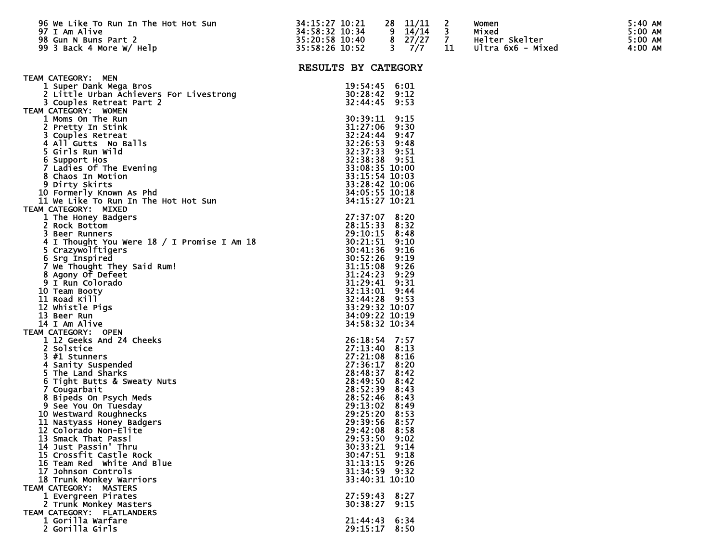| 96 We Like To Run In The Hot Hot Sun<br>$\frac{1}{2}$ is the set of $\frac{1}{2}$ in $\frac{1}{2}$<br>97 I Am Alive<br>98 Gun N Buns Part 2<br>99 3 Back 4 More W/ Help   | 34:15:27 10:21<br>35:20:32 10:34 - 9<br>35:20:58 10:40 - 8<br>35:58:26 10:52 - 3 | 28 11/11<br>$14/14$ 3<br>$\begin{array}{cc}\n 8 & 27/27 & 7 \\  3 & 7/7 & 11\n \end{array}$<br>7/7 | $\overline{\phantom{a}}$<br>11 | Women<br>Mixed<br>Helter Skelter<br>Ultra 6x6 - Mixed | $5:40$ AM<br>5:00 AM<br>5:00 AM<br>4:00 AM |
|---------------------------------------------------------------------------------------------------------------------------------------------------------------------------|----------------------------------------------------------------------------------|----------------------------------------------------------------------------------------------------|--------------------------------|-------------------------------------------------------|--------------------------------------------|
|                                                                                                                                                                           | RESULTS BY CATEGORY                                                              |                                                                                                    |                                |                                                       |                                            |
| TEAM CATEGORY: MEN                                                                                                                                                        |                                                                                  |                                                                                                    |                                |                                                       |                                            |
| 1 Super Dank Mega Bros                                                                                                                                                    |                                                                                  | 19:54:45 6:01                                                                                      |                                |                                                       |                                            |
| 2 Little Urban Achievers For Livestrong<br>3 Couples Retreat Part 2                                                                                                       |                                                                                  | 30:28:42 9:12<br>32:44:45 9:53                                                                     |                                |                                                       |                                            |
| 3 Couples Retreat Part 2<br>TEAM CATEGORY: WOMEN                                                                                                                          |                                                                                  |                                                                                                    |                                |                                                       |                                            |
| 1 Moms On The Run                                                                                                                                                         |                                                                                  | 30:39:11 9:15                                                                                      |                                |                                                       |                                            |
| 2 Pretty In Stink                                                                                                                                                         |                                                                                  | 31:27:06 9:30                                                                                      |                                |                                                       |                                            |
| 3 Couples Retreat                                                                                                                                                         |                                                                                  | 32:24:44 9:47                                                                                      |                                |                                                       |                                            |
| 4 All Gutts No Balls<br>5 Girls Run Wild                                                                                                                                  |                                                                                  | 32:26:53 9:48<br>32:37:33 9:51                                                                     |                                |                                                       |                                            |
| 6 Support Hos                                                                                                                                                             |                                                                                  | 32:38:38 9:51                                                                                      |                                |                                                       |                                            |
|                                                                                                                                                                           |                                                                                  | 33:08:35 10:00<br>33:15:54 10:03                                                                   |                                |                                                       |                                            |
|                                                                                                                                                                           |                                                                                  |                                                                                                    |                                |                                                       |                                            |
| 7 Ladies of The Evening<br>8 Chaos In Motion<br>9 Dirty Skirts<br>10 Formerly Known As Phd<br>11 We Like To Run In The Hot Hot Sun                                        |                                                                                  | 33:28:42 10:06<br>34:05:55 10:18                                                                   |                                |                                                       |                                            |
|                                                                                                                                                                           |                                                                                  | 34:15:27 10:21                                                                                     |                                |                                                       |                                            |
| TEAM CATEGORY: MIXED                                                                                                                                                      |                                                                                  |                                                                                                    |                                |                                                       |                                            |
| 1 The Honey Badgers                                                                                                                                                       |                                                                                  | 27:37:07 8:20                                                                                      |                                |                                                       |                                            |
| 2 Rock Bottom                                                                                                                                                             |                                                                                  | 28:15:33 8:32                                                                                      |                                |                                                       |                                            |
| 3 Beer Runners                                                                                                                                                            |                                                                                  | 29:10:15 8:48<br>30:21:51 9:10                                                                     |                                |                                                       |                                            |
| 4 I Thought You Were 18 / I Promise I Am 18<br>5 Crazywolftigers                                                                                                          |                                                                                  |                                                                                                    |                                |                                                       |                                            |
| 6 Srg Inspired                                                                                                                                                            |                                                                                  | 30:41:36 9:16<br>30:52:26 9:19                                                                     |                                |                                                       |                                            |
| <b>7 We Thought They Said Rum!</b><br>7 We Thought They Said Rum!<br>9 I Run Colorado<br>10 Team Booty<br>11 Road Kill<br>12 Whistle Pigs<br>13 Beer Run<br>14 I Am Alive |                                                                                  | 31:15:08 9:26                                                                                      |                                |                                                       |                                            |
|                                                                                                                                                                           |                                                                                  | $31:24:23$ $9:29$                                                                                  |                                |                                                       |                                            |
| 10 Team Booty                                                                                                                                                             |                                                                                  | 31:29:41 9:31<br>32:13:01 9:44                                                                     |                                |                                                       |                                            |
| 11 Road Kill                                                                                                                                                              |                                                                                  | 32:44:28 9:53                                                                                      |                                |                                                       |                                            |
| 12 Whistle Pigs                                                                                                                                                           |                                                                                  | 33:29:32 10:07                                                                                     |                                |                                                       |                                            |
| 13 Beer Run                                                                                                                                                               |                                                                                  | 34:09:22 10:19                                                                                     |                                |                                                       |                                            |
| 14 I Am Alive<br>TEAM CATEGORY: OPEN                                                                                                                                      |                                                                                  | 34:58:32 10:34                                                                                     |                                |                                                       |                                            |
| 1 12 Geeks And 24 Cheeks                                                                                                                                                  |                                                                                  | 26:18:54 7:57                                                                                      |                                |                                                       |                                            |
| 2 Solstice                                                                                                                                                                |                                                                                  | 27:13:40 8:13                                                                                      |                                |                                                       |                                            |
| 3 #1 Stunners                                                                                                                                                             |                                                                                  | 27:21:08 8:16                                                                                      |                                |                                                       |                                            |
| 4 Sanity Suspended                                                                                                                                                        |                                                                                  | 27:36:17 8:20                                                                                      |                                |                                                       |                                            |
| 5 The Land Sharks<br>6 Tight Butts & Sweaty Nuts                                                                                                                          |                                                                                  | 28:48:37 8:42<br>28:49:50 8:42                                                                     |                                |                                                       |                                            |
| 7 Cougarbait                                                                                                                                                              |                                                                                  | 28:52:39 8:43                                                                                      |                                |                                                       |                                            |
| 8 Bipeds On Psych Meds                                                                                                                                                    |                                                                                  | 28:52:46 8:43                                                                                      |                                |                                                       |                                            |
| 9 See You On Tuesday                                                                                                                                                      |                                                                                  | 29:13:02 8:49                                                                                      |                                |                                                       |                                            |
| 10 Westward Roughnecks<br>11 Nastyass Honey Badgers                                                                                                                       |                                                                                  | 29:25:20 8:53<br>29:39:56 8:57                                                                     |                                |                                                       |                                            |
| 12 Colorado Non-Elite                                                                                                                                                     |                                                                                  | 29:42:08 8:58                                                                                      |                                |                                                       |                                            |
| 13 Smack That Pass!                                                                                                                                                       |                                                                                  | 29:53:50 9:02                                                                                      |                                |                                                       |                                            |
| 14 Just Passin' Thru                                                                                                                                                      |                                                                                  | 30:33:21 9:14                                                                                      |                                |                                                       |                                            |
| 15 Crossfit Castle Rock                                                                                                                                                   |                                                                                  | $30:47:51$ 9:18                                                                                    |                                |                                                       |                                            |
| 16 Team Red White And Blue<br>17 Johnson Controls                                                                                                                         |                                                                                  | 31:13:15 9:26<br>31:34:59 9:32                                                                     |                                |                                                       |                                            |
| 18 Trunk Monkey Warriors                                                                                                                                                  |                                                                                  | 33:40:31 10:10                                                                                     |                                |                                                       |                                            |
| TEAM CATEGORY: MASTERS                                                                                                                                                    |                                                                                  |                                                                                                    |                                |                                                       |                                            |
| 1 Evergreen Pirates                                                                                                                                                       |                                                                                  | 27:59:43 8:27                                                                                      |                                |                                                       |                                            |
| 2 Trunk Monkey Masters<br>TEAM CATEGORY: FLATLANDERS                                                                                                                      |                                                                                  | 30:38:27 9:15                                                                                      |                                |                                                       |                                            |
| 1 Gorilla Warfare                                                                                                                                                         |                                                                                  | 21:44:43 6:34                                                                                      |                                |                                                       |                                            |
| 2 Gorilla Girls                                                                                                                                                           |                                                                                  | 29:15:17 8:50                                                                                      |                                |                                                       |                                            |